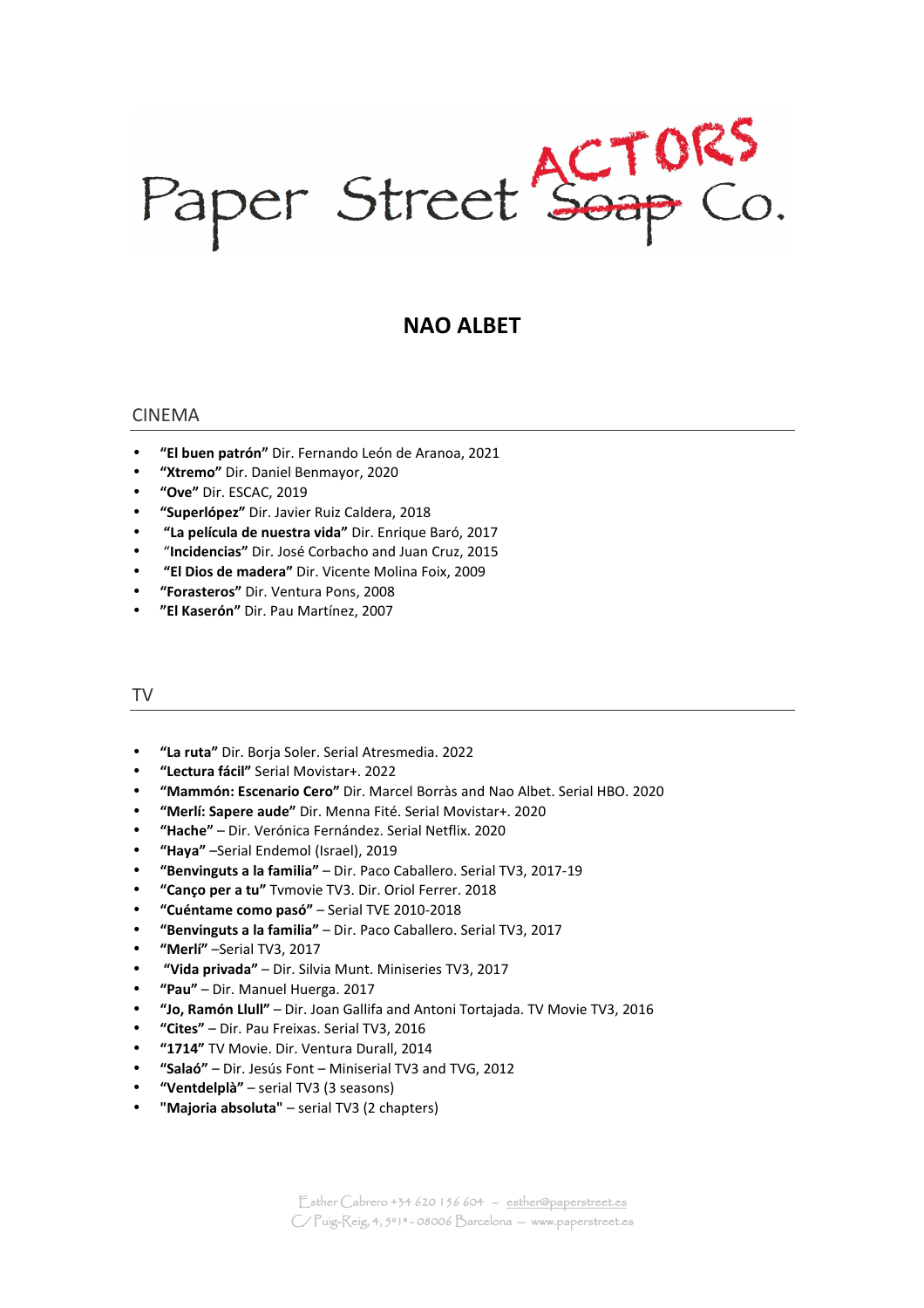Paper Street Soap Co.

# **NAO ALBET**

#### CINEMA

- **"El buen patrón"** Dir. Fernando León de Aranoa, 2021
- **"Xtremo"** Dir. Daniel Benmayor, 2020
- **"Ove"** Dir. ESCAC, 2019
- **"Superlópez"** Dir. Javier Ruiz Caldera, 2018
- • **"La película de nuestra vida"** Dir. Enrique Baró, 2017
- "**Incidencias"** Dir. José Corbacho and Juan Cruz, 2015
- • **"El Dios de madera"** Dir. Vicente Molina Foix, 2009
- **"Forasteros"** Dir. Ventura Pons, 2008
- **"El Kaserón"** Dir. Pau Martínez, 2007

## TV

- **"La ruta"** Dir. Borja Soler. Serial Atresmedia. 2022
- **"Lectura fácil"** Serial Movistar+. 2022
- **"Mammón: Escenario Cero"** Dir. Marcel Borràs and Nao Albet. Serial HBO. 2020
- **"Merlí: Sapere aude"** Dir. Menna Fité. Serial Movistar+. 2020
- **"Hache"** Dir. Verónica Fernández. Serial Netflix. 2020
- **"Haya"** –Serial Endemol (Israel), 2019
- **"Benvinguts a la familia"** Dir. Paco Caballero. Serial TV3, 2017-19
- **"Canço per a tu"** Tvmovie TV3. Dir. Oriol Ferrer. 2018
- **"Cuéntame como pasó"** Serial TVE 2010-2018
- **"Benvinguts a la familia"** Dir. Paco Caballero. Serial TV3, 2017
- **"Merlí"** –Serial TV3, 2017
- • **"Vida privada"** Dir. Silvia Munt. Miniseries TV3, 2017
- **"Pau"** Dir. Manuel Huerga. 2017
- **"Jo, Ramón Llull"** Dir. Joan Gallifa and Antoni Tortajada. TV Movie TV3, 2016
- **"Cites"** Dir. Pau Freixas. Serial TV3, 2016
- **"1714"** TV Movie. Dir. Ventura Durall, 2014
- **"Salaó"** Dir. Jesús Font Miniserial TV3 and TVG, 2012
- **"Ventdelplà"** serial TV3 (3 seasons)
- **"Majoria absoluta"** serial TV3 (2 chapters)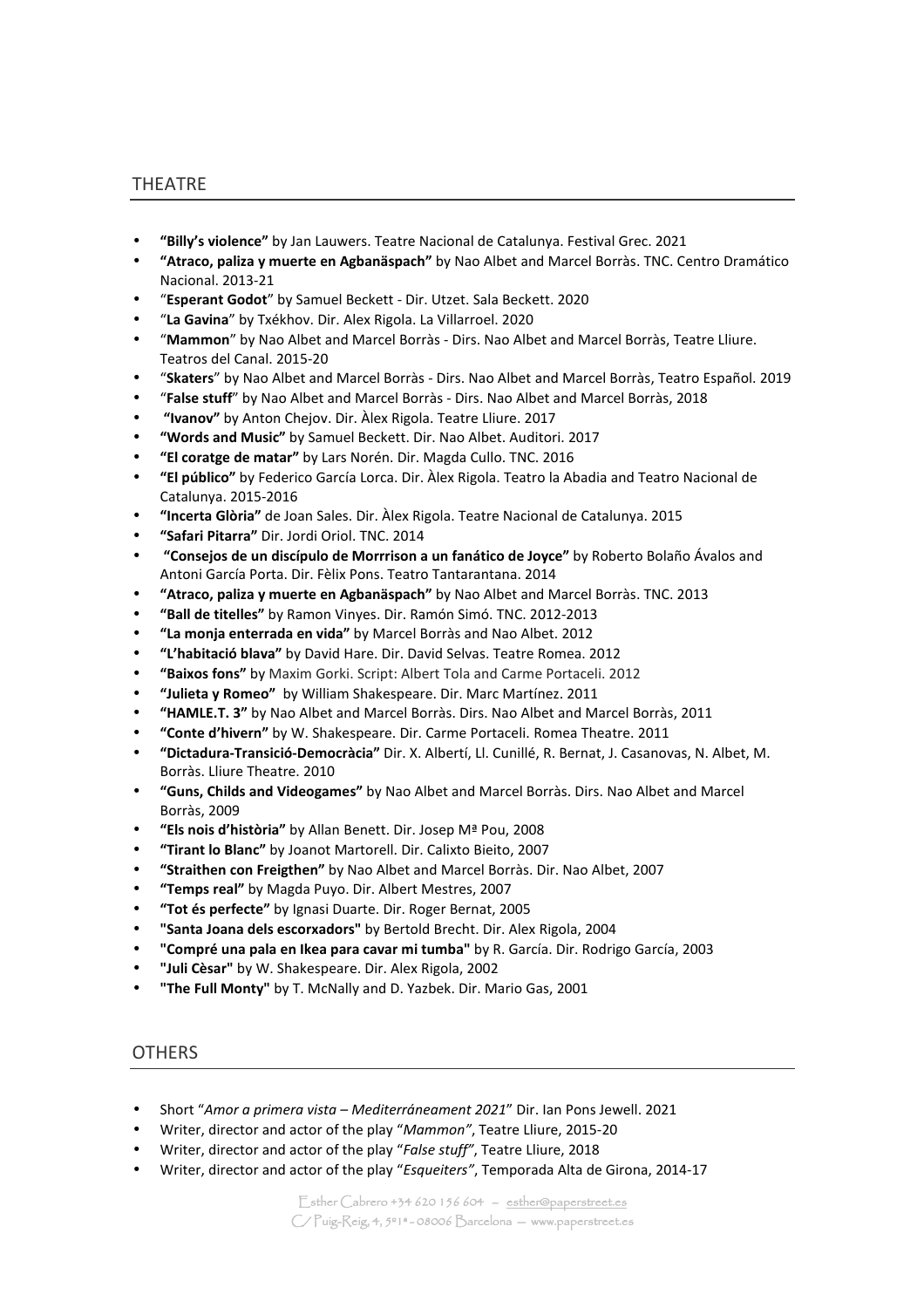#### THEATRE

- **"Billy's violence"** by Jan Lauwers. Teatre Nacional de Catalunya. Festival Grec. 2021
- **"Atraco, paliza y muerte en Agbanäspach"** by Nao Albet and Marcel Borràs. TNC. Centro Dramático Nacional. 2013-21
- "**Esperant Godot**" by Samuel Beckett Dir. Utzet. Sala Beckett. 2020
- "**La Gavina**" by Txékhov. Dir. Alex Rigola. La Villarroel. 2020
- "**Mammon**" by Nao Albet and Marcel Borràs Dirs. Nao Albet and Marcel Borràs, Teatre Lliure. Teatros del Canal. 2015-20
- "**Skaters**" by Nao Albet and Marcel Borràs Dirs. Nao Albet and Marcel Borràs, Teatro Español. 2019
- "**False stuff**" by Nao Albet and Marcel Borràs Dirs. Nao Albet and Marcel Borràs, 2018
- • **"Ivanov"** by Anton Chejov. Dir. Àlex Rigola. Teatre Lliure. 2017
- **"Words and Music"** by Samuel Beckett. Dir. Nao Albet. Auditori. 2017
- **"El coratge de matar"** by Lars Norén. Dir. Magda Cullo. TNC. 2016
- **"El público"** by Federico García Lorca. Dir. Àlex Rigola. Teatro la Abadia and Teatro Nacional de Catalunya. 2015-2016
- **"Incerta Glòria"** de Joan Sales. Dir. Àlex Rigola. Teatre Nacional de Catalunya. 2015
- **"Safari Pitarra"** Dir. Jordi Oriol. TNC. 2014
- • **"Consejos de un discípulo de Morrrison a un fanático de Joyce"** by Roberto Bolaño Ávalos and Antoni García Porta. Dir. Fèlix Pons. Teatro Tantarantana. 2014
- **"Atraco, paliza y muerte en Agbanäspach"** by Nao Albet and Marcel Borràs. TNC. 2013
- **"Ball de titelles"** by Ramon Vinyes. Dir. Ramón Simó. TNC. 2012-2013
- **"La monja enterrada en vida"** by Marcel Borràs and Nao Albet. 2012
- **"L'habitació blava"** by David Hare. Dir. David Selvas. Teatre Romea. 2012
- **"Baixos fons"** by Maxim Gorki. Script: Albert Tola and Carme Portaceli. 2012
- **"Julieta y Romeo"** by William Shakespeare. Dir. Marc Martínez. 2011
- **"HAMLE.T. 3"** by Nao Albet and Marcel Borràs. Dirs. Nao Albet and Marcel Borràs, 2011
- **"Conte d'hivern"** by W. Shakespeare. Dir. Carme Portaceli. Romea Theatre. 2011
- **"Dictadura-Transició-Democràcia"** Dir. X. Albertí, Ll. Cunillé, R. Bernat, J. Casanovas, N. Albet, M. Borràs. Lliure Theatre. 2010
- **"Guns, Childs and Videogames"** by Nao Albet and Marcel Borràs. Dirs. Nao Albet and Marcel Borràs, 2009
- **"Els nois d'història"** by Allan Benett. Dir. Josep Mª Pou, 2008
- **"Tirant lo Blanc"** by Joanot Martorell. Dir. Calixto Bieito, 2007
- **"Straithen con Freigthen"** by Nao Albet and Marcel Borràs. Dir. Nao Albet, 2007
- **"Temps real"** by Magda Puyo. Dir. Albert Mestres, 2007
- **"Tot és perfecte"** by Ignasi Duarte. Dir. Roger Bernat, 2005
- **"Santa Joana dels escorxadors"** by Bertold Brecht. Dir. Alex Rigola, 2004
- **"Compré una pala en Ikea para cavar mi tumba"** by R. García. Dir. Rodrigo García, 2003
- **"Juli Cèsar"** by W. Shakespeare. Dir. Alex Rigola, 2002
- **"The Full Monty"** by T. McNally and D. Yazbek. Dir. Mario Gas, 2001

#### **OTHERS**

- Short "*Amor a primera vista Mediterráneament 2021*" Dir. Ian Pons Jewell. 2021
- Writer, director and actor of the play "*Mammon"*, Teatre Lliure, 2015-20
- Writer, director and actor of the play "*False stuff"*, Teatre Lliure, 2018
- Writer, director and actor of the play "*Esqueiters"*, Temporada Alta de Girona, 2014-17